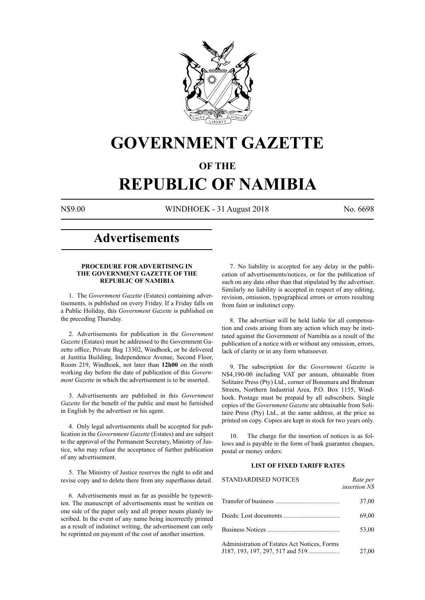

# **GOVERNMENT GAZETTE**

## **OF THE**

# **REPUBLIC OF NAMIBIA**

N\$9.00 WINDHOEK - 31 August 2018 No. 6698

## **Advertisements**

#### **PROCEDURE FOR ADVERTISING IN THE GOVERNMENT GAZETTE OF THE REPUBLIC OF NAMIBIA**

1. The *Government Gazette* (Estates) containing advertisements, is published on every Friday. If a Friday falls on a Public Holiday, this *Government Gazette* is published on the preceding Thursday.

2. Advertisements for publication in the *Government Gazette* (Estates) must be addressed to the Government Gazette office, Private Bag 13302, Windhoek, or be delivered at Justitia Building, Independence Avenue, Second Floor, Room 219, Windhoek, not later than **12h00** on the ninth working day before the date of publication of this *Government Gazette* in which the advertisement is to be inserted.

3. Advertisements are published in this *Government Gazette* for the benefit of the public and must be furnished in English by the advertiser or his agent.

4. Only legal advertisements shall be accepted for publication in the *Government Gazette* (Estates) and are subject to the approval of the Permanent Secretary, Ministry of Justice, who may refuse the acceptance of further publication of any advertisement.

5. The Ministry of Justice reserves the right to edit and revise copy and to delete there from any superfluous detail.

6. Advertisements must as far as possible be typewritten. The manuscript of advertisements must be written on one side of the paper only and all proper nouns plainly inscribed. In the event of any name being incorrectly printed as a result of indistinct writing, the advertisement can only be reprinted on payment of the cost of another insertion.

7. No liability is accepted for any delay in the publication of advertisements/notices, or for the publication of such on any date other than that stipulated by the advertiser. Similarly no liability is accepted in respect of any editing, revision, omission, typographical errors or errors resulting from faint or indistinct copy.

8. The advertiser will be held liable for all compensation and costs arising from any action which may be instituted against the Government of Namibia as a result of the publication of a notice with or without any omission, errors, lack of clarity or in any form whatsoever.

9. The subscription for the *Government Gazette* is N\$4,190-00 including VAT per annum, obtainable from Solitaire Press (Pty) Ltd., corner of Bonsmara and Brahman Streets, Northern Industrial Area, P.O. Box 1155, Windhoek. Postage must be prepaid by all subscribers. Single copies of the *Government Gazette* are obtainable from Solitaire Press (Pty) Ltd., at the same address, at the price as printed on copy. Copies are kept in stock for two years only.

10. The charge for the insertion of notices is as follows and is payable in the form of bank guarantee cheques, postal or money orders:

#### **LIST OF FIXED TARIFF RATES**

| <b>STANDARDISED NOTICES</b>                  | Rate per<br><i>insertion NS</i> |
|----------------------------------------------|---------------------------------|
|                                              | 37,00                           |
|                                              | 69,00                           |
|                                              | 53,00                           |
| Administration of Estates Act Notices, Forms | 27,00                           |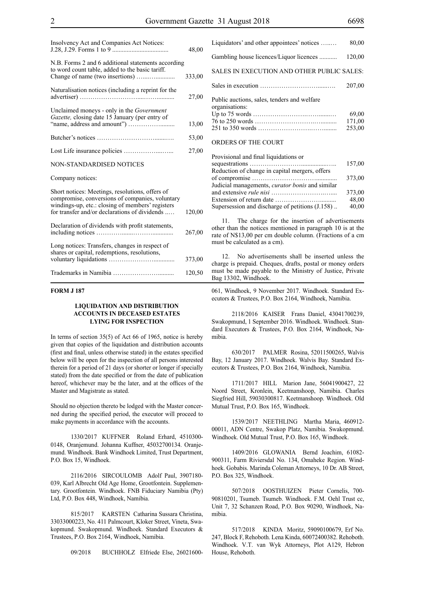| Insolvency Act and Companies Act Notices:                                                                                                                                                               | 48,00  |
|---------------------------------------------------------------------------------------------------------------------------------------------------------------------------------------------------------|--------|
| N.B. Forms 2 and 6 additional statements according<br>to word count table, added to the basic tariff.                                                                                                   | 333,00 |
| Naturalisation notices (including a reprint for the                                                                                                                                                     | 27,00  |
| Unclaimed moneys - only in the <i>Government</i><br>Gazette, closing date 15 January (per entry of                                                                                                      | 13,00  |
|                                                                                                                                                                                                         | 53,00  |
|                                                                                                                                                                                                         | 27,00  |
| <b>NON-STANDARDISED NOTICES</b>                                                                                                                                                                         |        |
| Company notices:                                                                                                                                                                                        |        |
| Short notices: Meetings, resolutions, offers of<br>compromise, conversions of companies, voluntary<br>windings-up, etc.: closing of members' registers<br>for transfer and/or declarations of dividends | 120,00 |
| Declaration of dividends with profit statements,                                                                                                                                                        | 267,00 |
| Long notices: Transfers, changes in respect of<br>shares or capital, redemptions, resolutions,                                                                                                          | 373,00 |
|                                                                                                                                                                                                         | 120,50 |

#### **FORM J 187**

#### **LIQUIDATION AND DISTRIBUTION ACCOUNTS IN DECEASED ESTATES LYING FOR INSPECTION**

In terms of section 35(5) of Act 66 of 1965, notice is hereby given that copies of the liquidation and distribution accounts (first and final, unless otherwise stated) in the estates specified below will be open for the inspection of all persons interested therein for a period of 21 days (or shorter or longer if specially stated) from the date specified or from the date of publication hereof, whichever may be the later, and at the offices of the Master and Magistrate as stated.

Should no objection thereto be lodged with the Master concerned during the specified period, the executor will proceed to make payments in accordance with the accounts.

1330/2017 KUFFNER Roland Erhard, 4510300- 0148, Oranjemund. Johanna Kuffner, 45032700134. Oranjemund. Windhoek. Bank Windhoek Limited, Trust Department, P.O. Box 15, Windhoek.

2116/2016 SIRCOULOMB Adolf Paul, 3907180- 039, Karl Albrecht Old Age Home, Grootfontein. Supplementary. Grootfontein. Windhoek. FNB Fiduciary Namibia (Pty) Ltd, P.O. Box 448, Windhoek, Namibia.

815/2017 KARSTEN Catharina Sussara Christina, 33033000223, No. 411 Palmcourt, Kloker Street, Vineta, Swakopmund. Swakopmund. Windhoek. Standard Executors & Trustees, P.O. Box 2164, Windhoek, Namibia.

09/2018 BUCHHOLZ Elfriede Else, 26021600-

| Liquidators' and other appointees' notices                    | 80,00                     |
|---------------------------------------------------------------|---------------------------|
| Gambling house licences/Liquor licences                       | 120,00                    |
| SALES IN EXECUTION AND OTHER PUBLIC SALES:                    |                           |
|                                                               | 207,00                    |
| Public auctions, sales, tenders and welfare<br>organisations: | 69,00<br>171,00<br>253,00 |
| ORDERS OF THE COURT                                           |                           |
| Daoine an t-am t-Carl Hand Jatistica                          |                           |

| Provisional and final liquidations or                    |  |
|----------------------------------------------------------|--|
| 157,00                                                   |  |
| Reduction of change in capital mergers, offers           |  |
| 373,00                                                   |  |
| Judicial managements, <i>curator bonis</i> and similar   |  |
| 373,00                                                   |  |
| 48,00                                                    |  |
| 40,00<br>Supersession and discharge of petitions (J.158) |  |

11. The charge for the insertion of advertisements other than the notices mentioned in paragraph 10 is at the rate of N\$13,00 per cm double column. (Fractions of a cm must be calculated as a cm).

12. No advertisements shall be inserted unless the charge is prepaid. Cheques, drafts, postal or money orders must be made payable to the Ministry of Justice, Private Bag 13302, Windhoek.

061, Windhoek, 9 November 2017. Windhoek. Standard Executors & Trustees, P.O. Box 2164, Windhoek, Namibia.

2118/2016 KAISER Frans Daniel, 43041700239, Swakopmund, 1 September 2016. Windhoek. Windhoek. Standard Executors & Trustees, P.O. Box 2164, Windhoek, Namibia.

630/2017 PALMER Rosina, 52011500265, Walvis Bay, 12 January 2017. Windhoek. Walvis Bay. Standard Executors & Trustees, P.O. Box 2164, Windhoek, Namibia.

1711/2017 HILL Marion Jane, 56041900427, 22 Noord Street, Kronlein, Keetmanshoop, Namibia. Charles Siegfried Hill, 59030300817. Keetmanshoop. Windhoek. Old Mutual Trust, P.O. Box 165, Windhoek.

1539/2017 NEETHLING Martha Maria, 460912- 00011, ADN Centre, Swakop Platz, Namibia. Swakopmund. Windhoek. Old Mutual Trust, P.O. Box 165, Windhoek.

1409/2016 GLOWANIA Bernd Joachim, 61082- 900311, Farm Riviersdal No. 134, Omaheke Region. Windhoek. Gobabis. Marinda Coleman Attorneys, 10 Dr. AB Street, P.O. Box 325, Windhoek.

507/2018 OOSTHUIZEN Pieter Cornelis, 700- 90810201, Tsumeb. Tsumeb. Windhoek. F.M. Oehl Trust cc, Unit 7, 32 Schanzen Road, P.O. Box 90290, Windhoek, Namibia.

517/2018 KINDA Moritz, 59090100679, Erf No. 247, Block F, Rehoboth. Lena Kinda, 60072400382. Rehoboth. Windhoek. V.T. van Wyk Attorneys, Plot A129, Hebron House, Rehoboth.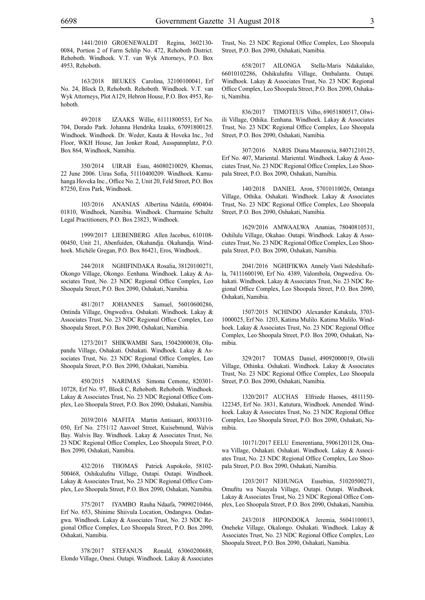1441/2010 GROENEWALDT Regina, 3602130- 0084, Portion 2 of Farm Schlip No. 472, Rehoboth District. Rehoboth. Windhoek. V.T. van Wyk Attorneys, P.O. Box 4953, Rehoboth.

163/2018 BEUKES Carolina, 32100100041, Erf No. 24, Block D, Rehoboth. Rehoboth. Windhoek. V.T. van Wyk Attorneys, Plot A129, Hebron House, P.O. Box 4953, Rehoboth.

49/2018 IZAAKS Willie, 61111800553, Erf No. 704, Dorado Park. Johanna Hendrika Izaaks, 67091800125. Windhoek. Windhoek. Dr. Weder, Kauta & Hoveka Inc., 3rd Floor, WKH House, Jan Jonker Road, Ausspannplatz, P.O. Box 864, Windhoek, Namibia.

350/2014 UIRAB Esau, 46080210029, Khomas, 22 June 2006. Uiras Sofia, 51110400209. Windhoek. Kamuhanga Hoveka Inc., Office No. 2, Unit 20, Feld Street, P.O. Box 87250, Eros Park, Windhoek.

103/2016 ANANIAS Albertina Ndatila, 690404- 01810, Windhoek, Namibia. Windhoek. Charmaine Schultz Legal Practitioners, P.O. Box 23823, Windhoek.

1999/2017 LIEBENBERG Allen Jacobus, 610108- 00450, Unit 21, Abenfuiden, Okahandja. Okahandja. Windhoek. Michèle Gregan, P.O. Box 86421, Eros, Windhoek..

244/2018 NGHIFINDAKA Rosalia, 38120100271, Okongo Village, Okongo. Eenhana. Windhoek. Lakay & Associates Trust, No. 23 NDC Regional Office Complex, Leo Shoopala Street, P.O. Box 2090, Oshakati, Namibia.

481/2017 JOHANNES Samuel, 56010600286, Ontinda Village, Ongwediva. Oshakati. Windhoek. Lakay & Associates Trust, No. 23 NDC Regional Office Complex, Leo Shoopala Street, P.O. Box 2090, Oshakati, Namibia.

1273/2017 SHIKWAMBI Sara, 15042000038, Olupandu Village, Oshakati. Oshakati. Windhoek. Lakay & Associates Trust, No. 23 NDC Regional Office Complex, Leo Shoopala Street, P.O. Box 2090, Oshakati, Namibia.

450/2015 NARIMAS Simona Cemone, 820301-10728, Erf No. 97, Block C, Rehoboth. Rehoboth. Windhoek. Lakay & Associates Trust, No. 23 NDC Regional Office Complex, Leo Shoopala Street, P.O. Box 2090, Oshakati, Namibia.

2039/2016 MAFITA Martin Antisaari, 80033110- 050, Erf No. 2751/12 Aasvoel Street, Kuisebmund, Walvis Bay. Walvis Bay. Windhoek. Lakay & Associates Trust, No. 23 NDC Regional Office Complex, Leo Shoopala Street, P.O. Box 2090, Oshakati, Namibia.

432/2016 THOMAS Patrick Aupokolo, 58102- 500468, Oshikulufitu Village, Outapi. Outapi. Windhoek. Lakay & Associates Trust, No. 23 NDC Regional Office Complex, Leo Shoopala Street, P.O. Box 2090, Oshakati, Namibia.

375/2017 IYAMBO Rauha Ndaafa, 79090210466, Erf No. 653, Shinime Shiivula Location, Ondangwa. Ondangwa. Windhoek. Lakay & Associates Trust, No. 23 NDC Regional Office Complex, Leo Shoopala Street, P.O. Box 2090, Oshakati, Namibia.

378/2017 STEFANUS Ronald, 63060200688, Elondo Village, Onesi. Outapi. Windhoek. Lakay & Associates Trust, No. 23 NDC Regional Office Complex, Leo Shoopala Street, P.O. Box 2090, Oshakati, Namibia.

658/2017 AILONGA Stella-Maris Ndakalako, 66010102286, Oshikulufitu Village, Ombalantu. Outapi. Windhoek. Lakay & Associates Trust, No. 23 NDC Regional Office Complex, Leo Shoopala Street, P.O. Box 2090, Oshakati, Namibia.

836/2017 TIMOTEUS Vilho, 69051800517, Olwiili Village, Othika. Eenhana. Windhoek. Lakay & Associates Trust, No. 23 NDC Regional Office Complex, Leo Shoopala Street, P.O. Box 2090, Oshakati, Namibia.

307/2016 NARIS Diana Maurencia, 84071210125, Erf No. 407, Mariental. Mariental. Windhoek. Lakay & Associates Trust, No. 23 NDC Regional Office Complex, Leo Shoopala Street, P.O. Box 2090, Oshakati, Namibia.

140/2018 DANIEL Aron, 57010110026, Ontanga Village, Othika. Oshakati. Windhoek. Lakay & Associates Trust, No. 23 NDC Regional Office Complex, Leo Shoopala Street, P.O. Box 2090, Oshakati, Namibia.

1629/2016 AMWAALWA Ananias, 78040810531, Oshilulu Village, Okahao. Outapi. Windhoek. Lakay & Associates Trust, No. 23 NDC Regional Office Complex, Leo Shoopala Street, P.O. Box 2090, Oshakati, Namibia.

2041/2016 NGHIFIKWA Annely Vasti Ndeshihafela, 74111600190, Erf No. 4389, Valombola, Ongwediva. Oshakati. Windhoek. Lakay & Associates Trust, No. 23 NDC Regional Office Complex, Leo Shoopala Street, P.O. Box 2090, Oshakati, Namibia.

1507/2015 NCHINDO Alexander Katukula, 3703- 1000025, Erf No. 1203, Katima Mulilo. Katima Mulilo. Windhoek. Lakay & Associates Trust, No. 23 NDC Regional Office Complex, Leo Shoopala Street, P.O. Box 2090, Oshakati, Namibia.

329/2017 TOMAS Daniel, 49092000019, Olwiili Village, Othinka. Oshakati. Windhoek. Lakay & Associates Trust, No. 23 NDC Regional Office Complex, Leo Shoopala Street, P.O. Box 2090, Oshakati, Namibia.

1320/2017 AUCHAS Elfriede Haoses, 4811150- 122345, Erf No. 3831, Katutura, Windhoek. Amended. Windhoek. Lakay & Associates Trust, No. 23 NDC Regional Office Complex, Leo Shoopala Street, P.O. Box 2090, Oshakati, Namibia.

10171/2017 EELU Emerentiana, 59061201128, Onawa Village, Oshakati. Oshakati. Windhoek. Lakay & Associates Trust, No. 23 NDC Regional Office Complex, Leo Shoopala Street, P.O. Box 2090, Oshakati, Namibia.

1203/2017 NEHUNGA Eusebius, 51020500271, Omufitu wa Nauyala Village, Outapi. Outapi. Windhoek. Lakay & Associates Trust, No. 23 NDC Regional Office Complex, Leo Shoopala Street, P.O. Box 2090, Oshakati, Namibia.

243/2018 HIPONDOKA Jeremia, 56041100013, Oneheke Village, Okalongo. Oshakati. Windhoek. Lakay & Associates Trust, No. 23 NDC Regional Office Complex, Leo Shoopala Street, P.O. Box 2090, Oshakati, Namibia.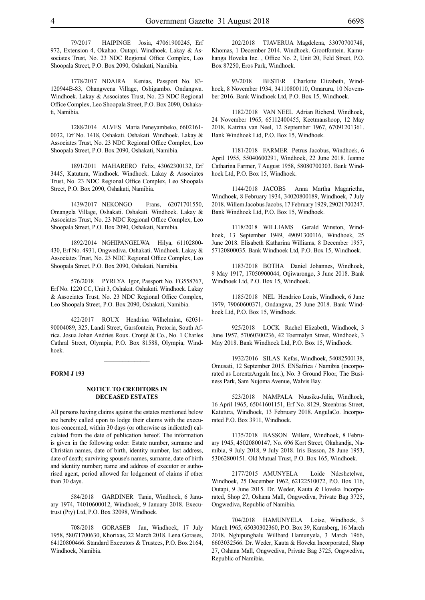79/2017 HAIPINGE Josia, 47061900245, Erf 972, Extension 4, Okahao. Outapi. Windhoek. Lakay & Associates Trust, No. 23 NDC Regional Office Complex, Leo Shoopala Street, P.O. Box 2090, Oshakati, Namibia.

1778/2017 NDAIRA Kenias, Passport No. 83- 120944B-83, Ohangwena Village, Oshigambo. Ondangwa. Windhoek. Lakay & Associates Trust, No. 23 NDC Regional Office Complex, Leo Shoopala Street, P.O. Box 2090, Oshakati, Namibia.

1288/2014 ALVES Maria Peneyambeko, 6602161- 0032, Erf No. 1418, Oshakati. Oshakati. Windhoek. Lakay & Associates Trust, No. 23 NDC Regional Office Complex, Leo Shoopala Street, P.O. Box 2090, Oshakati, Namibia.

1891/2011 MAHARERO Felix, 43062300132, Erf 3445, Katutura, Windhoek. Windhoek. Lakay & Associates Trust, No. 23 NDC Regional Office Complex, Leo Shoopala Street, P.O. Box 2090, Oshakati, Namibia.

1439/2017 NEKONGO Frans, 62071701550, Omangela Village, Oshakati. Oshakati. Windhoek. Lakay & Associates Trust, No. 23 NDC Regional Office Complex, Leo Shoopala Street, P.O. Box 2090, Oshakati, Namibia.

1892/2014 NGHIPANGELWA Hilya, 61102800- 430, Erf No. 4931, Ongwediva. Oshakati. Windhoek. Lakay & Associates Trust, No. 23 NDC Regional Office Complex, Leo Shoopala Street, P.O. Box 2090, Oshakati, Namibia.

576/2018 PYRLYA Igor, Passport No. FG558767, Erf No. 1220 CC, Unit 3, Oshakat. Oshakati. Windhoek. Lakay & Associates Trust, No. 23 NDC Regional Office Complex, Leo Shoopala Street, P.O. Box 2090, Oshakati, Namibia.

422/2017 ROUX Hendrina Wilhelmina, 62031- 90004089, 325, Landi Street, Garsfontein, Pretoria, South Africa. Josua Johan Andries Roux. Cronjé & Co., No. 1 Charles Cathral Street, Olympia, P.O. Box 81588, Olympia, Windhoek.

#### **FORM J 193**

#### **NOTICE TO CREDITORS IN DECEASED ESTATES**

All persons having claims against the estates mentioned below are hereby called upon to lodge their claims with the executors concerned, within 30 days (or otherwise as indicated) calculated from the date of publication hereof. The information is given in the following order: Estate number, surname and Christian names, date of birth, identity number, last address, date of death; surviving spouse's names, surname, date of birth and identity number; name and address of executor or authorised agent, period allowed for lodgement of claims if other than 30 days.

584/2018 GARDINER Tania, Windhoek, 6 January 1974, 74010600012, Windhoek, 9 January 2018. Executrust (Pty) Ltd, P.O. Box 32098, Windhoek.

708/2018 GORASEB Jan, Windhoek, 17 July 1958, 58071700630, Khorixas, 22 March 2018. Lena Gorases, 64120800466. Standard Executors & Trustees, P.O. Box 2164, Windhoek, Namibia.

202/2018 TJAVERUA Magdelena, 33070700748, Khomas, 1 December 2014. Windhoek. Grootfontein. Kamuhanga Hoveka Inc. , Office No. 2, Unit 20, Feld Street, P.O. Box 87250, Eros Park, Windhoek.

93/2018 BESTER Charlotte Elizabeth, Windhoek, 8 November 1934, 34110800110, Omaruru, 10 November 2016. Bank Windhoek Ltd, P.O. Box 15, Windhoek.

1182/2018 VAN NEEL Adrian Richerd, Windhoek, 24 November 1965, 65112400455, Keetmanshoop, 12 May 2018. Katrina van Neel, 12 September 1967, 67091201361. Bank Windhoek Ltd, P.O. Box 15, Windhoek.

1181/2018 FARMER Petrus Jacobus, Windhoek, 6 April 1955, 55040600291, Windhoek, 22 June 2018. Jeanne Catharina Farmer, 7 August 1958, 58080700303. Bank Windhoek Ltd, P.O. Box 15, Windhoek.

1144/2018 JACOBS Anna Martha Magarietha, Windhoek, 8 February 1934, 34020800189, Windhoek, 7 July 2018. Willem Jacobus Jacobs, 17 February 1929, 29021700247. Bank Windhoek Ltd, P.O. Box 15, Windhoek.

1118/2018 WILLIAMS Gerald Winston, Windhoek, 13 September 1949, 49091300116, Windhoek, 25 June 2018. Elisabeth Katharina Williams, 8 December 1957, 57120800035. Bank Windhoek Ltd, P.O. Box 15, Windhoek.

1183/2018 BOTHA Daniel Johannes, Windhoek, 9 May 1917, 17050900044, Otjiwarongo, 3 June 2018. Bank Windhoek Ltd, P.O. Box 15, Windhoek.

1185/2018 NEL Hendrico Louis, Windhoek, 6 June 1979, 79060600371, Ondangwa, 25 June 2018. Bank Windhoek Ltd, P.O. Box 15, Windhoek.

925/2018 LOCK Rachel Elizabeth, Windhoek, 3 June 1957, 57060300236, 42 Toermalyn Street, Windhoek, 3 May 2018. Bank Windhoek Ltd, P.O. Box 15, Windhoek.

1932/2016 SILAS Kefas, Windhoek, 54082500138, Omusati, 12 September 2015. ENSafrica / Namibia (incorporated as LorentzAngula Inc.), No. 3 Ground Floor, The Business Park, Sam Nujoma Avenue, Walvis Bay.

523/2018 NAMPALA Nuusiku-Julia, Windhoek, 16 April 1965, 65041601151, Erf No. 8129, Steenbras Street, Katutura, Windhoek, 13 February 2018. AngulaCo. Incorporated P.O. Box 3911, Windhoek.

1135/2018 BASSON Willem, Windhoek, 8 February 1945, 45020800147, No. 696 Kort Street, Okahandja, Namibia, 9 July 2018, 9 July 2018. Iris Basson, 28 June 1953, 53062800151. Old Mutual Trust, P.O. Box 165, Windhoek.

2177/2015 AMUNYELA Loide Ndeshetelwa, Windhoek, 25 December 1962, 62122510072, P.O. Box 116, Outapi, 9 June 2015. Dr. Weder, Kauta & Hoveka Incorporated, Shop 27, Oshana Mall, Ongwediva, Private Bag 3725, Ongwediva, Republic of Namibia.

704/2018 HAMUNYELA Loise, Windhoek, 3 March 1965, 65030302360, P.O. Box 39, Karasberg, 16 March 2018. Nghipunghalu Willbard Hamunyela, 3 March 1966, 6603032566. Dr. Weder, Kauta & Hoveka Incorporated, Shop 27, Oshana Mall, Ongwediva, Private Bag 3725, Ongwediva, Republic of Namibia.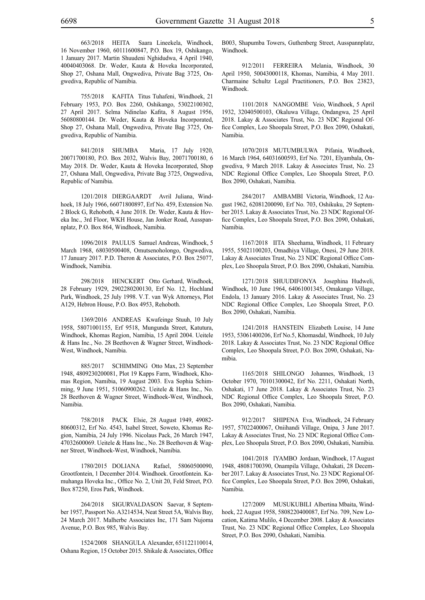663/2018 HEITA Saara Lineekela, Windhoek, 16 November 1960, 60111600847, P.O. Box 19, Oshikango, 1 January 2017. Martin Shuudeni Nghidudwa, 4 April 1940, 40040403068. Dr. Weder, Kauta & Hoveka Incorporated, Shop 27, Oshana Mall, Ongwediva, Private Bag 3725, Ongwediva, Republic of Namibia.

755/2018 KAFITA Titus Tuhafeni, Windhoek, 21 February 1953, P.O. Box 2260, Oshikango, 53022100302, 27 April 2017. Selma Ndinelao Kafita, 8 August 1956, 56080800144. Dr. Weder, Kauta & Hoveka Incorporated, Shop 27, Oshana Mall, Ongwediva, Private Bag 3725, Ongwediva, Republic of Namibia.

841/2018 SHUMBA Maria, 17 July 1920, 20071700180, P.O. Box 2032, Walvis Bay, 20071700180, 6 May 2018. Dr. Weder, Kauta & Hoveka Incorporated, Shop 27, Oshana Mall, Ongwediva, Private Bag 3725, Ongwediva, Republic of Namibia.

1201/2018 DIERGAARDT Avril Juliana, Windhoek, 18 July 1966, 66071800897, Erf No. 459, Extension No. 2 Block G, Rehoboth, 4 June 2018. Dr. Weder, Kauta & Hoveka Inc., 3rd Floor, WKH House, Jan Jonker Road, Ausspannplatz, P.O. Box 864, Windhoek, Namibia.

1096/2018 PAULUS Samuel Andreas, Windhoek, 5 March 1968, 68030500408, Omutsenoholongo, Ongwediva, 17 January 2017. P.D. Theron & Associates, P.O. Box 25077, Windhoek, Namibia.

298/2018 HENCKERT Otto Gerhard, Windhoek, 28 February 1929, 2902280200130, Erf No. 12, Hochland Park, Windhoek, 25 July 1998. V.T. van Wyk Attorneys, Plot A129, Hebron House, P.O. Box 4953, Rehoboth.

1369/2016 ANDREAS Kwafeinge Stuuh, 10 July 1958, 58071001155, Erf 9518, Mungunda Street, Katutura, Windhoek, Khomas Region, Namibia, 15 April 2004. Ueitele & Hans Inc., No. 28 Beethoven & Wagner Street, Windhoek-West, Windhoek, Namibia.

885/2017 SCHIMMING Otto Max, 23 September 1948, 4809230200081, Plot 19 Kapps Farm, Windhoek, Khomas Region, Namibia, 19 August 2003. Eva Sophia Schimming, 9 June 1951, 51060900262. Ueitele & Hans Inc., No. 28 Beethoven & Wagner Street, Windhoek-West, Windhoek, Namibia.

758/2018 PACK Elsie, 28 August 1949, 49082- 80600312, Erf No. 4543, Isabel Street, Soweto, Khomas Region, Namibia, 24 July 1996. Nicolaus Pack, 26 March 1947, 47032600069. Ueitele & Hans Inc., No. 28 Beethoven & Wagner Street, Windhoek-West, Windhoek, Namibia.

1780/2015 DOLIANA Rafael, 58060500090, Grootfontein, 1 December 2014. Windhoek. Grootfontein. Kamuhanga Hoveka Inc., Office No. 2, Unit 20, Feld Street, P.O. Box 87250, Eros Park, Windhoek.

264/2018 SIGURVALDASON Saevar, 8 September 1957, Passport No. A3214534, Neat Street 5A, Walvis Bay, 24 March 2017. Malherbe Associates Inc, 171 Sam Nujoma Avenue, P.O. Box 985, Walvis Bay.

1524/2008 SHANGULA Alexander, 651122110014, Oshana Region, 15 October 2015. Shikale & Associates, Office B003, Shapumba Towers, Guthenberg Street, Ausspannplatz, Windhoek.

912/2011 FERREIRA Melania, Windhoek, 30 April 1950, 50043000118, Khomas, Namibia, 4 May 2011. Charmaine Schultz Legal Practitioners, P.O. Box 23823, Windhoek.

1101/2018 NANGOMBE Veio, Windhoek, 5 April 1932, 32040500103, Okaluwa Village, Ondangwa, 25 April 2018. Lakay & Associates Trust, No. 23 NDC Regional Office Complex, Leo Shoopala Street, P.O. Box 2090, Oshakati, Namibia.

1070/2018 MUTUMBULWA Pifania, Windhoek, 16 March 1964, 64031600593, Erf No. 7201, Elyambala, Ongwediva, 9 March 2018. Lakay & Associates Trust, No. 23 NDC Regional Office Complex, Leo Shoopala Street, P.O. Box 2090, Oshakati, Namibia.

284/2017 AMBAMBI Victoria, Windhoek, 12 August 1962, 62081200090, Erf No. 703, Oshikuku, 29 September 2015. Lakay & Associates Trust, No. 23 NDC Regional Office Complex, Leo Shoopala Street, P.O. Box 2090, Oshakati, Namibia.

1167/2018 IITA Sheehama, Windhoek, 11 February 1955, 55021100203, Omadhiya Village, Onesi, 29 June 2018. Lakay & Associates Trust, No. 23 NDC Regional Office Complex, Leo Shoopala Street, P.O. Box 2090, Oshakati, Namibia.

1271/2018 SHUUDIFONYA Josephina Hudweli, Windhoek, 10 June 1964, 64061001345, Omakango Village, Endola, 13 January 2016. Lakay & Associates Trust, No. 23 NDC Regional Office Complex, Leo Shoopala Street, P.O. Box 2090, Oshakati, Namibia.

1241/2018 HANSTEIN Elizabeth Louise, 14 June 1953, 53061400206, Erf No.5, Khomasdal, Windhoek, 10 July 2018. Lakay & Associates Trust, No. 23 NDC Regional Office Complex, Leo Shoopala Street, P.O. Box 2090, Oshakati, Namibia.

1165/2018 SHILONGO Johannes, Windhoek, 13 October 1970, 70101300042, Erf No. 2211, Oshakati North, Oshakati, 17 June 2018. Lakay & Associates Trust, No. 23 NDC Regional Office Complex, Leo Shoopala Street, P.O. Box 2090, Oshakati, Namibia.

912/2017 SHIPENA Eva, Windhoek, 24 February 1957, 57022400067, Oniihandi Village, Onipa, 3 June 2017. Lakay & Associates Trust, No. 23 NDC Regional Office Complex, Leo Shoopala Street, P.O. Box 2090, Oshakati, Namibia.

1041/2018 IYAMBO Jordaan, Windhoek, 17 August 1948, 48081700390, Onampila Village, Oshakati, 28 December 2017. Lakay & Associates Trust, No. 23 NDC Regional Office Complex, Leo Shoopala Street, P.O. Box 2090, Oshakati, Namibia.

127/2009 MUSUKUBILI Albertina Mbaita, Windhoek, 22 August 1958, 5808220400087, Erf No. 709, New Location, Katima Mulilo, 4 December 2008. Lakay & Associates Trust, No. 23 NDC Regional Office Complex, Leo Shoopala Street, P.O. Box 2090, Oshakati, Namibia.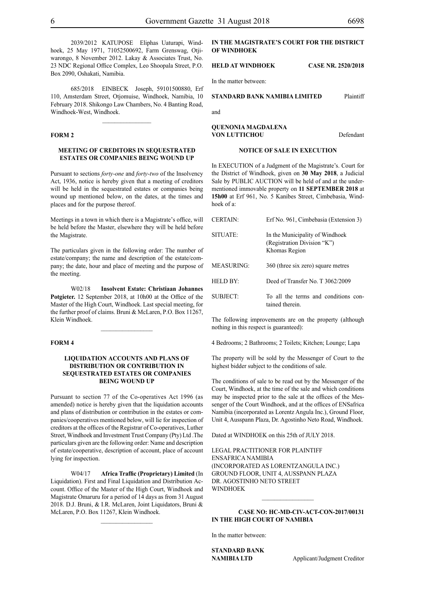2039/2012 KATUPOSE Eliphas Uaturapi, Windhoek, 25 May 1971, 71052500692, Farm Grenswag, Otjiwarongo, 8 November 2012. Lakay & Associates Trust, No. 23 NDC Regional Office Complex, Leo Shoopala Street, P.O. Box 2090, Oshakati, Namibia.

685/2018 EINBECK Joseph, 59101500880, Erf 110, Amsterdam Street, Otjomuise, Windhoek, Namibia, 10 February 2018. Shikongo Law Chambers, No. 4 Banting Road, Windhoek-West, Windhoek.

 $\frac{1}{2}$ 

#### **FORM 2**

#### **MEETING OF CREDITORS IN SEQUESTRATED ESTATES OR COMPANIES BEING WOUND UP**

Pursuant to sections *forty-one* and *forty-two* of the Insolvency Act, 1936, notice is hereby given that a meeting of creditors will be held in the sequestrated estates or companies being wound up mentioned below, on the dates, at the times and places and for the purpose thereof.

Meetings in a town in which there is a Magistrate's office, will be held before the Master, elsewhere they will be held before the Magistrate.

The particulars given in the following order: The number of estate/company; the name and description of the estate/company; the date, hour and place of meeting and the purpose of the meeting.

W02/18 **Insolvent Estate: Christiaan Johannes**  Potgieter. 12 September 2018, at 10h00 at the Office of the Master of the High Court, Windhoek. Last special meeting, for the further proof of claims. Bruni & McLaren, P.O. Box 11267, Klein Windhoek.

 $\frac{1}{2}$ 

#### **FORM 4**

#### **LIQUIDATION ACCOUNTS AND PLANS OF DISTRIBUTION OR CONTRIBUTION IN SEQUESTRATED ESTATES OR COMPANIES BEING WOUND UP**

Pursuant to section 77 of the Co-operatives Act 1996 (as amended) notice is hereby given that the liquidation accounts and plans of distribution or contribution in the estates or companies/cooperatives mentioned below, will lie for inspection of creditors at the offices of the Registrar of Co-operatives, Luther Street, Windhoek and Investment Trust Company (Pty) Ltd .The particulars given are the following order: Name and description of estate/cooperative, description of account, place of account lying for inspection.

W04/17 **Africa Traffic (Proprietary) Limited** (In Liquidation). First and Final Liquidation and Distribution Account. Office of the Master of the High Court, Windhoek and Magistrate Omaruru for a period of 14 days as from 31 August 2018. D.J. Bruni, & I.R. McLaren, Joint Liquidators, Bruni & McLaren, P.O. Box 11267, Klein Windhoek.

 $\frac{1}{2}$ 

#### **IN THE MAGISTRATE'S COURT FOR THE DISTRICT OF WINDHOEK**

#### **HELD AT WINDHOEK CASE NR. 2520/2018**

In the matter between:

#### **STANDARD BANK NAMIBIA LIMITED** Plaintiff

and

**QUENONIA MAGDALENA VON LUTTICHOU** Defendant

#### **NOTICE OF SALE IN EXECUTION**

In EXECUTION of a Judgment of the Magistrate's. Court for the District of Windhoek, given on **30 May 2018**, a Judicial Sale by PUBLIC AUCTION will be held of and at the undermentioned immovable property on **11 SEPTEMBER 2018** at **15h00** at Erf 961, No. 5 Kanibes Street, Cimbebasia, Windhoek of a:

| <b>CERTAIN:</b>      | Erf No. 961, Cimbebasia (Extension 3)                                           |
|----------------------|---------------------------------------------------------------------------------|
| SITUATE:             | In the Municipality of Windhoek<br>(Registration Division "K")<br>Khomas Region |
| MEASURING:           | 360 (three six zero) square metres                                              |
| HELD BY <sup>.</sup> | Deed of Transfer No. T 3062/2009                                                |
| SUBJECT:             | To all the terms and conditions con-<br>tained therein                          |

The following improvements are on the property (although nothing in this respect is guaranteed):

4 Bedrooms; 2 Bathrooms; 2 Toilets; Kitchen; Lounge; Lapa

The property will be sold by the Messenger of Court to the highest bidder subject to the conditions of sale.

The conditions of sale to be read out by the Messenger of the Court, Windhoek, at the time of the sale and which conditions may be inspected prior to the sale at the offices of the Messenger of the Court Windhoek, and at the offices of ENSafrica Namibia (incorporated as Lorentz Angula Inc.), Ground Floor, Unit 4, Ausspann Plaza, Dr. Agostinho Neto Road, Windhoek.

Dated at WINDHOEK on this 25th of JULY 2018.

Legal Practitioner for Plaintiff ENSafrica Namibia (incorporated as LorentzAngula Inc.) Ground Floor, Unit 4, Ausspann Plaza Dr. Agostinho Neto Street **WINDHOEK** 

#### **Case No: HC-MD-CIV-ACT-CON-2017/00131 IN THE HIGH COURT OF NAMIBIA**

In the matter between:

**STANDARD BANK** 

**NAMIBIA LTD** Applicant/Judgment Creditor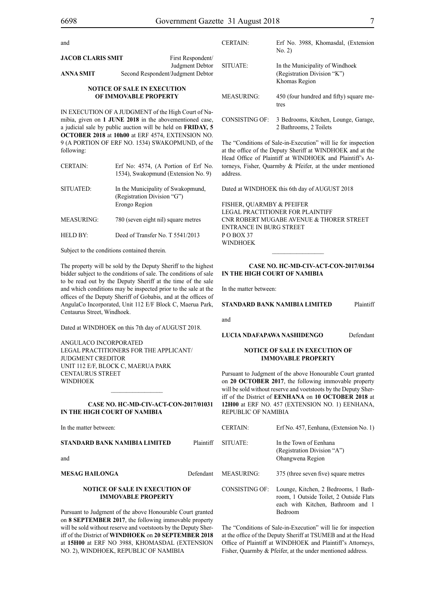and

#### **NOTICE OF SALE IN EXECUTION OF IMMOVABLE PROPERTY**

IN EXECUTION OF A JUDGMENT of the High Court of Namibia, given on **1 JUNE 2018** in the abovementioned case, a judicial sale by public auction will be held on **FRIDAY, 5 OCTOBER 2018** at **10h00** at ERF 4574, EXTENSION NO. 9 (A PORTION OF ERF NO. 1534) SWAKOPMUND, of the following:

| CERTAIN:   | Erf No: 4574, (A Portion of Erf No.<br>1534), Swakopmund (Extension No. 9)         |
|------------|------------------------------------------------------------------------------------|
| SITUATED:  | In the Municipality of Swakopmund,<br>(Registration Division "G")<br>Erongo Region |
| MEASURING: | 780 (seven eight nil) square metres                                                |

HELD BY: Deed of Transfer No. T 5541/2013

Subject to the conditions contained therein.

The property will be sold by the Deputy Sheriff to the highest bidder subject to the conditions of sale. The conditions of sale to be read out by the Deputy Sheriff at the time of the sale and which conditions may be inspected prior to the sale at the offices of the Deputy Sheriff of Gobabis, and at the offices of AngulaCo Incorporated, Unit 112 E/F Block C, Maerua Park, Centaurus Street, Windhoek.

Dated at WINDHOEK on this 7th day of AUGUST 2018.

ANGULACO INCORPORATED Legal Practitioners for the Applicant/ Judgment Creditor Unit 112 E/F, Block C, Maerua Park Centaurus Street WINDHOEK

#### **CASE No. HC-MD-CIV-ACT-CON-2017/01031 IN THE HIGH COURT OF NAMIBIA**

 $\mathcal{L}=\mathcal{L}^{\text{max}}$ 

| In the matter between:                                             |           | <b>CERTAIN:</b>   | Erf No. 457, Eenhana, (Extension No. 1)                                                                              |
|--------------------------------------------------------------------|-----------|-------------------|----------------------------------------------------------------------------------------------------------------------|
| STANDARD BANK NAMIBIA LIMITED<br>and                               | Plaintiff | SITUATE:          | In the Town of Eenhana<br>(Registration Division "A")<br>Ohangwena Region                                            |
| MESAG HAILONGA                                                     | Defendant | <b>MEASURING:</b> | 375 (three seven five) square metres                                                                                 |
| <b>NOTICE OF SALE IN EXECUTION OF</b><br><b>IMMOVABLE PROPERTY</b> |           | CONSISTING OF:    | Lounge, Kitchen, 2 Bedrooms, 1 Bath-<br>room, 1 Outside Toilet, 2 Outside Flats<br>each with Kitchen, Bathroom and 1 |
| Pursuant to Judgment of the above Honourable Court granted         |           |                   | Bedroom                                                                                                              |

on **8 SEPTEMBER 2017**, the following immovable property will be sold without reserve and voetstoots by the Deputy Sheriff of the District of **WINDHOEK** on **20 SEPTEMBER 2018** at **15H00** at ERF NO 3988, KHOMASDAL (EXTENSION NO. 2), WINDHOEK, REPUBLIC OF NAMIBIA

#### The "Conditions of Sale-in-Execution" will lie for inspection at the office of the Deputy Sheriff at WINDHOEK and at the Head Office of Plaintiff at WINDHOEK and Plaintiff's Attorneys, Fisher, Quarmby & Pfeifer, at the under mentioned

MEASURING: 450 (four hundred and fifty) square me-

CONSISTING OF: 3 Bedrooms, Kitchen, Lounge, Garage, 2 Bathrooms, 2 Toilets

tres

Dated at WINDHOEK this 6th day of AUGUST 2018

FISHER, QUARMBY & PFEIFER LEGAL PRACTITIONER FOR Plaintiff Cnr Robert Mugabe Avenue & Thorer Street Entrance in Burg Street P O Box 37 WINDHOEK

#### **CASE No. HC-MD-CIV-ACT-CON-2017/01364 IN THE HIGH COURT OF NAMIBIA**

 $\frac{1}{2}$ 

In the matter between:

**STANDARD BANK NAMIBIA LIMITED** Plaintiff

and

address.

**LUCIA NDAFAPAWA NASHIDENGO** Defendant

#### **NOTICE OF SALE IN EXECUTION OF IMMOVABLE PROPERTY**

Pursuant to Judgment of the above Honourable Court granted on **20 OCTOBER 2017**, the following immovable property will be sold without reserve and voetstoots by the Deputy Sheriff of the District of **EENHANA** on **10 OCTOBER 2018** at **12H00** at ERF NO. 457 (EXTENSION NO. 1) EENHANA, REPUBLIC OF NAMIBIA

The "Conditions of Sale-in-Execution" will lie for inspection at the office of the Deputy Sheriff at TSUMEB and at the Head Office of Plaintiff at WINDHOEK and Plaintiff's Attorneys, Fisher, Quarmby & Pfeifer, at the under mentioned address.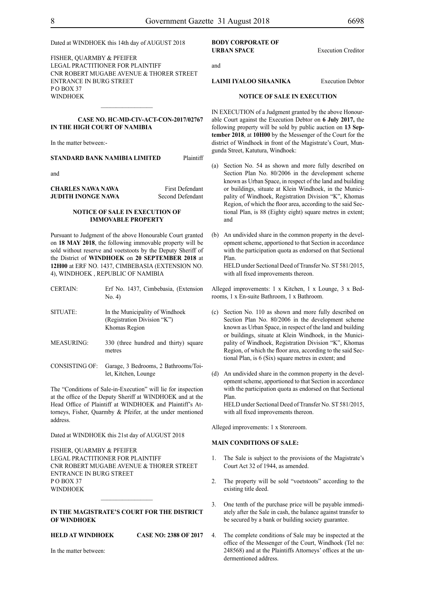Dated at WINDHOEK this 14th day of AUGUST 2018

FISHER, QUARMBY & PFEIFER LEGAL PRACTITIONER FOR Plaintiff Cnr Robert Mugabe Avenue & Thorer Street Entrance in Burg Street PO BOX 37 WINDHOEK  $\frac{1}{2}$ 

#### **CASE No. HC-MD-CIV-ACT-CON-2017/02767 IN THE HIGH COURT OF NAMIBIA**

In the matter between:-

#### **STANDARD BANK NAMIBIA LIMITED** Plaintiff

and

| CHARLES NAWA NAWA  | <b>First Defendant</b> |
|--------------------|------------------------|
| JUDITH INONGE NAWA | Second Defendant       |

#### **NOTICE OF SALE IN EXECUTION OF IMMOVABLE PROPERTY**

Pursuant to Judgment of the above Honourable Court granted on **18 MAY 2018**, the following immovable property will be sold without reserve and voetstoots by the Deputy Sheriff of the District of **WINDHOEK** on **20 SEPTEMBER 2018** at **12H00** at ERF NO. 1437, CIMBEBASIA (EXTENSION NO. 4), WINDHOEK , REPUBLIC OF NAMIBIA

| CERTAIN:        | Erf No. 1437, Cimbebasia, (Extension<br>No. 4)                 |
|-----------------|----------------------------------------------------------------|
| <b>SITUATE:</b> | In the Municipality of Windhoek<br>(Registration Division "K") |

MEASURING: 330 (three hundred and thirty) square metres

Khomas Region

CONSISTING OF: Garage, 3 Bedrooms, 2 Bathrooms/Toilet, Kitchen, Lounge

The "Conditions of Sale-in-Execution" will lie for inspection at the office of the Deputy Sheriff at WINDHOEK and at the Head Office of Plaintiff at WINDHOEK and Plaintiff's Attorneys, Fisher, Quarmby & Pfeifer, at the under mentioned address.

Dated at WINDHOEK this 21st day of AUGUST 2018

FISHER, QUARMBY & PFEIFER LEGAL PRACTITIONER FOR Plaintiff Cnr Robert Mugabe Avenue & Thorer Street Entrance in Burg Street P O Box 37 WINDHOEK

#### **IN THE MAGISTRATE'S COURT FOR THE DISTRICT OF WINDHOEK**

 $\frac{1}{2}$ 

**HELD AT WINDHOEK CASE NO: 2388 OF 2017**

In the matter between:

#### **BODY CORPORATE OF URBAN SPACE** Execution Creditor

and

**LAIMI IYALOO SHAANIKA** Execution Debtor

#### **NOTICE OF SALE IN EXECUTION**

IN EXECUTION of a Judgment granted by the above Honourable Court against the Execution Debtor on **6 July 2017,** the following property will be sold by public auction on **13 September 2018**, at **10H00** by the Messenger of the Court for the district of Windhoek in front of the Magistrate's Court, Mungunda Street, Katutura, Windhoek:

- (a) Section No. 54 as shown and more fully described on Section Plan No. 80/2006 in the development scheme known as Urban Space, in respect of the land and building or buildings, situate at Klein Windhoek, in the Municipality of Windhoek, Registration Division "K", Khomas Region, of which the floor area, according to the said Sectional Plan, is 88 (Eighty eight) square metres in extent; and
- (b) An undivided share in the common property in the development scheme, apportioned to that Section in accordance with the participation quota as endorsed on that Sectional Plan.

HELD under Sectional Deed of Transfer No. ST 581/2015, with all fixed improvements thereon.

Alleged improvements: 1 x Kitchen, 1 x Lounge, 3 x Bedrooms, 1 x En-suite Bathroom, 1 x Bathroom.

- (c) Section No. 110 as shown and more fully described on Section Plan No. 80/2006 in the development scheme known as Urban Space, in respect of the land and building or buildings, situate at Klein Windhoek, in the Municipality of Windhoek, Registration Division "K", Khomas Region, of which the floor area, according to the said Sectional Plan, is 6 (Six) square metres in extent; and
- (d) An undivided share in the common property in the development scheme, apportioned to that Section in accordance with the participation quota as endorsed on that Sectional Plan.

HELD under Sectional Deed of Transfer No. ST 581/2015, with all fixed improvements thereon.

Alleged improvements: 1 x Storeroom.

#### **MAIN CONDITIONS OF SALE:**

- 1. The Sale is subject to the provisions of the Magistrate's Court Act 32 of 1944, as amended.
- 2. The property will be sold "voetstoots" according to the existing title deed.
- 3. One tenth of the purchase price will be payable immediately after the Sale in cash, the balance against transfer to be secured by a bank or building society guarantee.
- 4. The complete conditions of Sale may be inspected at the office of the Messenger of the Court, Windhoek (Tel no: 248568) and at the Plaintiffs Attorneys' offices at the undermentioned address.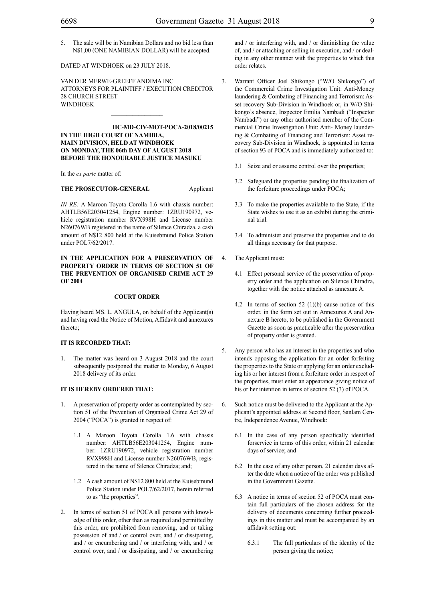5. The sale will be in Namibian Dollars and no bid less than N\$1,00 (ONE NAMIBIAN DOLLAR) will be accepted.

#### DATED AT WINDHOEK on 23 JULY 2018.

VAN DER MERWE-GREEFF ANDIMA INC ATTORNEYS FOR Plaintiff / EXECUTION CREDITOR 28 CHURCH STREET WINDHOEK

**HC-MD-CIV-MOT-POCA-2018/00215 IN THE HIGH COURT OF NAMIBIA, MAIN DIVISION, HELD AT WINDHOEK ON MONDAY, THE 06th DAY OF AUGUST 2018 BEFORE THE HONOURABLE JUSTICE MASUKU**

In the *ex parte* matter of:

#### **THE PROSECUTOR-GENERAL** Applicant

*IN RE:* A Maroon Toyota Corolla 1.6 with chassis number: AHTLB56E203041254, Engine number: 1ZRU190972, vehicle registration number RVX998H and License number N26076WB registered in the name of Silence Chiradza, a cash amount of N\$12 800 held at the Kuisebmund Police Station under POL7/62/2017.

#### **IN THE APPLICATION FOR A PRESERVATION OF PROPERTY ORDER IN TERMS OF SECTION 51 OF THE PREVENTION OF ORGANISED CRIME ACT 29 OF 2004**

#### **COURT ORDER**

Having heard MS. L. ANGULA, on behalf of the Applicant(s) and having read the Notice of Motion, Affidavit and annexures thereto;

#### **IT IS RECORDED THAT:**

1. The matter was heard on 3 August 2018 and the court subsequently postponed the matter to Monday, 6 August 2018 delivery of its order.

## **IT IS HEREBY ORDERED THAT:**

- 1. A preservation of property order as contemplated by section 51 of the Prevention of Organised Crime Act 29 of 2004 ("POCA") is granted in respect of:
	- 1.1 A Maroon Toyota Corolla 1.6 with chassis number: AHTLB56E203041254, Engine number: 1ZRU190972, vehicle registration number RVX998H and License number N26076WB, registered in the name of Silence Chiradza; and;
	- 1.2 A cash amount of N\$12 800 held at the Kuisebmund Police Station under POL7/62/2017, herein referred to as "the properties".
- 2. In terms of section 51 of POCA all persons with knowledge of this order, other than as required and permitted by this order, are prohibited from removing, and or taking possession of and / or control over, and / or dissipating, and / or encumbering and / or interfering with, and / or control over, and / or dissipating, and / or encumbering

and / or interfering with, and / or diminishing the value of, and / or attaching or selling in execution, and / or dealing in any other manner with the properties to which this order relates.

- 3. Warrant Officer Joel Shikongo ("W/O Shikongo") of the Commercial Crime Investigation Unit: Anti-Money laundering & Combating of Financing and Terrorism: Asset recovery Sub-Division in Windhoek or, in W/O Shikongo's absence, Inspector Emilia Nambadi ("Inspector Nambadi") or any other authorised member of the Commercial Crime Investigation Unit: Anti- Money laundering & Combating of Financing and Terrorism: Asset recovery Sub-Division in Windhoek, is appointed in terms of section 93 of POCA and is immediately authorized to:
	- 3.1 Seize and or assume control over the properties;
	- 3.2 Safeguard the properties pending the finalization of the forfeiture proceedings under POCA;
	- 3.3 To make the properties available to the State, if the State wishes to use it as an exhibit during the criminal trial.
	- 3.4 To administer and preserve the properties and to do all things necessary for that purpose.
- 4. The Applicant must:
	- 4.1 Effect personal service of the preservation of property order and the application on Silence Chiradza, together with the notice attached as annexure A.
	- 4.2 In terms of section 52 (1)(b) cause notice of this order, in the form set out in Annexures A and Annexure B hereto, to be published in the Government Gazette as soon as practicable after the preservation of property order is granted.
- 5. Any person who has an interest in the properties and who intends opposing the application for an order forfeiting the properties to the State or applying for an order excluding his or her interest from a forfeiture order in respect of the properties, must enter an appearance giving notice of his or her intention in terms of section 52 (3) of POCA.
- 6. Such notice must be delivered to the Applicant at the Applicant's appointed address at Second floor, Sanlam Centre, Independence Avenue, Windhoek:
	- 6.1 In the case of any person specifically identified forservice in terms of this order, within 21 calendar days of service; and
	- 6.2 In the case of any other person, 21 calendar days after the date when a notice of the order was published in the Government Gazette.
	- 6.3 A notice in terms of section 52 of POCA must contain full particulars of the chosen address for the delivery of documents concerning further proceedings in this matter and must be accompanied by an affidavit setting out:
		- 6.3.1 The full particulars of the identity of the person giving the notice;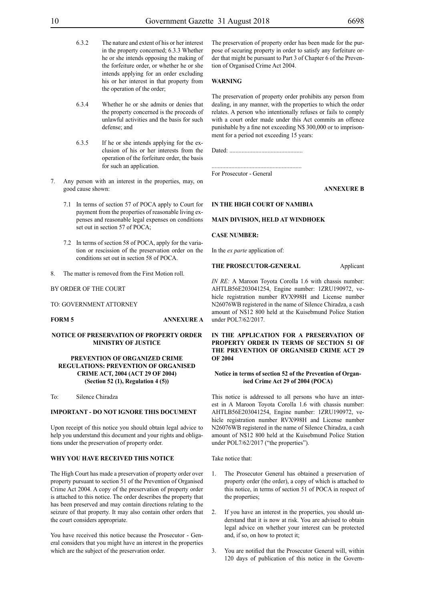- 6.3.2 The nature and extent of his or her interest in the property concerned; 6.3.3 Whether he or she intends opposing the making of the forfeiture order, or whether he or she intends applying for an order excluding his or her interest in that property from the operation of the order;
- 6.3.4 Whether he or she admits or denies that the property concerned is the proceeds of unlawful activities and the basis for such defense; and
- 6.3.5 If he or she intends applying for the exclusion of his or her interests from the operation of the forfeiture order, the basis for such an application.
- 7. Any person with an interest in the properties, may, on good cause shown:
	- 7.1 In terms of section 57 of POCA apply to Court for payment from the properties of reasonable living expenses and reasonable legal expenses on conditions set out in section 57 of POCA;
	- 7.2 In terms of section 58 of POCA, apply for the variation or rescission of the preservation order on the conditions set out in section 58 of POCA.
- 8. The matter is removed from the First Motion roll.

#### BY ORDER OF THE COURT

#### TO: GOVERNMENT ATTORNEY

#### **NOTICE OF PRESERVATION OF PROPERTY ORDER MINISTRY OF JUSTICE**

#### **PREVENTION OF ORGANIZED CRIME REGULATIONS: PREVENTION OF ORGANISED CRIME ACT, 2004 (ACT 29 OF 2004) (Section 52 (1), Regulation 4 (5))**

To: Silence Chiradza

#### **IMPORTANT - DO NOT IGNORE THIS DOCUMENT**

Upon receipt of this notice you should obtain legal advice to help you understand this document and your rights and obligations under the preservation of property order.

#### **WHY YOU HAVE RECEIVED THIS NOTICE**

The High Court has made a preservation of property order over property pursuant to section 51 of the Prevention of Organised Crime Act 2004. A copy of the preservation of property order is attached to this notice. The order describes the property that has been preserved and may contain directions relating to the seizure of that property. It may also contain other orders that the court considers appropriate.

You have received this notice because the Prosecutor - General considers that you might have an interest in the properties which are the subject of the preservation order.

The preservation of property order has been made for the purpose of securing property in order to satisfy any forfeiture order that might be pursuant to Part 3 of Chapter 6 of the Prevention of Organised Crime Act 2004.

#### **WARNING**

The preservation of property order prohibits any person from dealing, in any manner, with the properties to which the order relates. A person who intentionally refuses or fails to comply with a court order made under this Act commits an offence punishable by a fine not exceeding N\$ 300,000 or to imprisonment for a period not exceeding 15 years:

Dated: ................................................

........................................................... For Prosecutor - General

#### **ANNEXURE B**

#### **IN THE HIGH COURT OF NAMIBIA**

#### **MAIN DIVISION, HELD AT WINDHOEK**

#### **CASE NUMBER:**

In the *ex parte* application of:

#### **THE PROSECUTOR-GENERAL** Applicant

*IN RE:* A Maroon Toyota Corolla 1.6 with chassis number: AHTLB56E203041254, Engine number: 1ZRU190972, vehicle registration number RVX998H and License number N26076WB registered in the name of Silence Chiradza, a cash amount of N\$12 800 held at the Kuisebmund Police Station under POL7/62/2017.

**IN THE APPLICATION FOR A PRESERVATION OF PROPERTY ORDER IN TERMS OF SECTION 51 OF THE PREVENTION OF ORGANISED CRIME ACT 29 OF 2004**

#### **Notice in terms of section 52 of the Prevention of Organised Crime Act 29 of 2004 (POCA)**

This notice is addressed to all persons who have an interest in A Maroon Toyota Corolla 1.6 with chassis number: AHTLB56E203041254, Engine number: 1ZRU190972, vehicle registration number RVX998H and License number N26076WB registered in the name of Silence Chiradza, a cash amount of N\$12 800 held at the Kuisebmund Police Station under POL7/62/2017 ("the properties").

Take notice that:

- The Prosecutor General has obtained a preservation of property order (the order), a copy of which is attached to this notice, in terms of section 51 of POCA in respect of the properties;
- 2. If you have an interest in the properties, you should understand that it is now at risk. You are advised to obtain legal advice on whether your interest can be protected and, if so, on how to protect it;
- 3. You are notified that the Prosecutor General will, within 120 days of publication of this notice in the Govern-

**FORM 5 ANNEXURE A**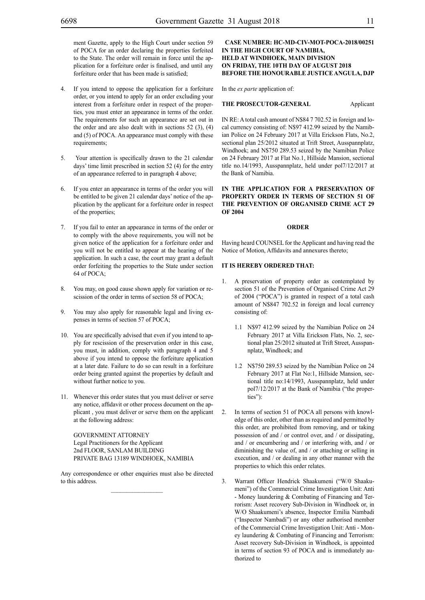ment Gazette, apply to the High Court under section 59 of POCA for an order declaring the properties forfeited to the State. The order will remain in force until the application for a forfeiture order is finalised, and until any forfeiture order that has been made is satisfied;

- 4. If you intend to oppose the application for a forfeiture order, or you intend to apply for an order excluding your interest from a forfeiture order in respect of the properties, you must enter an appearance in terms of the order. The requirements for such an appearance are set out in the order and are also dealt with in sections  $52$  (3), (4) and (5) of POCA. An appearance must comply with these requirements;
- 5. Your attention is specifically drawn to the 21 calendar days' time limit prescribed in section 52 (4) for the entry of an appearance referred to in paragraph 4 above;
- 6. If you enter an appearance in terms of the order you will be entitled to be given 21 calendar days' notice of the application by the applicant for a forfeiture order in respect of the properties;
- If you fail to enter an appearance in terms of the order or to comply with the above requirements, you will not be given notice of the application for a forfeiture order and you will not be entitled to appear at the hearing of the application. In such a case, the court may grant a default order forfeiting the properties to the State under section 64 of POCA;
- 8. You may, on good cause shown apply for variation or rescission of the order in terms of section 58 of POCA;
- 9. You may also apply for reasonable legal and living expenses in terms of section 57 of POCA;
- 10. You are specifically advised that even if you intend to apply for rescission of the preservation order in this case, you must, in addition, comply with paragraph 4 and 5 above if you intend to oppose the forfeiture application at a later date. Failure to do so can result in a forfeiture order being granted against the properties by default and without further notice to you.
- 11. Whenever this order states that you must deliver or serve any notice, affidavit or other process document on the applicant , you must deliver or serve them on the applicant at the following address:

GOVERNMENT ATTORNEY Legal Practitioners for the Applicant 2nd FLOOR, SANLAM BUILDING PRIVATE BAG 13189 WINDHOEK, NAMIBIA

Any correspondence or other enquiries must also be directed to this address.

#### **Case number: HC-MD-CIV-MOT-POCA-2018/00251 IN THE HIGH COURT OF NAMIBIA, HELD AT WINDHOEK, MAIN DIVISION ON FRIDAY, THE 10TH DAY OF AUGUST 2018 BEFORE THE HONOURABLE JUSTICE ANGULA, DJP**

In the *ex parte* application of:

#### **THE PROSECUTOR-GENERAL** Applicant

IN RE: A total cash amount of N\$84 7 702.52 in foreign and local currency consisting of: N\$97 412.99 seized by the Namibian Police on 24 February 2017 at Villa Erickson Flats, No.2, sectional plan 25/2012 situated at Trift Street, Ausspannplatz, Windhoek; and N\$750 289.53 seized by the Namibian Police on 24 February 2017 at Flat No.1, Hillside Mansion, sectional title no.14/1993, Ausspannplatz, held under pol7/12/2017 at the Bank of Namibia.

#### **IN THE APPLICATION FOR A PRESERVATION OF PROPERTY ORDER IN TERMS OF SECTION 51 OF THE PREVENTION OF ORGANISED CRIME ACT 29 OF 2004**

#### **ORDER**

Having heard COUNSEL for the Applicant and having read the Notice of Motion, Affidavits and annexures thereto;

#### **IT IS HEREBY ORDERED THAT:**

- 1. A preservation of property order as contemplated by section 51 of the Prevention of Organised Crime Act 29 of 2004 ("POCA") is granted in respect of a total cash amount of N\$847 702.52 in foreign and local currency consisting of:
	- 1.1 N\$97 412.99 seized by the Namibian Police on 24 February 2017 at Villa Erickson Flats, No. 2, sectional plan 25/2012 situated at Trift Street, Ausspannplatz, Windhoek; and
	- 1.2 N\$750 289.53 seized by the Namibian Police on 24 February 2017 at Flat No:1, Hillside Mansion, sectional title no:14/1993, Ausspannplatz, held under pol7/12/2017 at the Bank of Namibia ("the properties"):
- 2. In terms of section 51 of POCA all persons with knowledge of this order, other than as required and permitted by this order, are prohibited from removing, and or taking possession of and / or control over, and / or dissipating, and / or encumbering and / or interfering with, and / or diminishing the value of, and / or attaching or selling in execution, and / or dealing in any other manner with the properties to which this order relates.
- 3. Warrant Officer Hendrick Shaakumeni ("W/0 Shaakumeni") of the Commercial Crime Investigation Unit: Anti - Money laundering & Combating of Financing and Terrorism: Asset recovery Sub-Division in Windhoek or, in W/O Shaakumeni's absence, Inspector Emilia Nambadi ("Inspector Nambadi") or any other authorised member of the Commercial Crime Investigation Unit: Anti - Money laundering & Combating of Financing and Terrorism: Asset recovery Sub-Division in Windhoek, is appointed in terms of section 93 of POCA and is immediately authorized to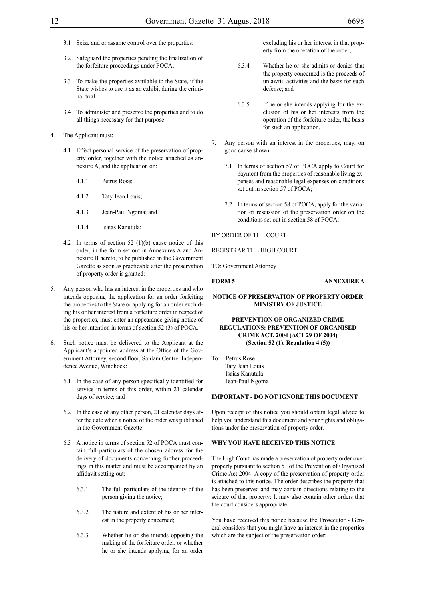- 3.1 Seize and or assume control over the properties;
- 3.2 Safeguard the properties pending the finalization of the forfeiture proceedings under POCA;
- 3.3 To make the properties available to the State, if the State wishes to use it as an exhibit during the criminal trial:
- 3.4 To administer and preserve the properties and to do all things necessary for that purpose:
- 4. The Applicant must:
	- 4.1 Effect personal service of the preservation of property order, together with the notice attached as annexure A, and the application on:
		- 4.1.1 Petrus Rose;
		- 4.1.2 Taty Jean Louis;
		- 4.1.3 Jean-Paul Ngoma; and
		- 4.1.4 Isaias Kanutula:
	- 4.2 In terms of section 52 (1)(b) cause notice of this order, in the form set out in Annexures A and Annexure B hereto, to be published in the Government Gazette as soon as practicable after the preservation of property order is granted:
- 5. Any person who has an interest in the properties and who intends opposing the application for an order forfeiting the properties to the State or applying for an order excluding his or her interest from a forfeiture order in respect of the properties, must enter an appearance giving notice of his or her intention in terms of section 52 (3) of POCA.
- 6. Such notice must be delivered to the Applicant at the Applicant's appointed address at the Office of the Government Attorney, second floor, Sanlam Centre, Independence Avenue, Windhoek:
	- 6.1 In the case of any person specifically identified for service in terms of this order, within 21 calendar days of service; and
	- 6.2 In the case of any other person, 21 calendar days after the date when a notice of the order was published in the Government Gazette.
	- 6.3 A notice in terms of section 52 of POCA must contain full particulars of the chosen address for the delivery of documents concerning further proceedings in this matter and must be accompanied by an affidavit setting out:
		- 6.3.1 The full particulars of the identity of the person giving the notice;
		- 6.3.2 The nature and extent of his or her interest in the property concerned;
		- 6.3.3 Whether he or she intends opposing the making of the forfeiture order, or whether he or she intends applying for an order

excluding his or her interest in that property from the operation of the order;

- 6.3.4 Whether he or she admits or denies that the property concerned is the proceeds of unlawful activities and the basis for such defense; and
- 6.3.5 If he or she intends applying for the exclusion of his or her interests from the operation of the forfeiture order, the basis for such an application.
- Any person with an interest in the properties, may, on good cause shown:
	- 7.1 In terms of section 57 of POCA apply to Court for payment from the properties of reasonable living expenses and reasonable legal expenses on conditions set out in section 57 of POCA;
	- 7.2 In terms of section 58 of POCA, apply for the variation or rescission of the preservation order on the conditions set out in section 58 of POCA:

#### BY ORDER OF THE COURT

REGISTRAR THE HIGH COURT

TO: Government Attorney

## **FORM 5 ANNEXURE A**

#### **NOTICE OF PRESERVATION OF PROPERTY ORDER MINISTRY OF JUSTICE**

#### **PREVENTION OF ORGANIZED CRIME REGULATIONS: PREVENTION OF ORGANISED CRIME ACT, 2004 (ACT 29 OF 2004) (Section 52 (1), Regulation 4 (5))**

To: Petrus Rose Taty Jean Louis Isaias Kanutula Jean-Paul Ngoma

#### **IMPORTANT - DO NOT IGNORE THIS DOCUMENT**

Upon receipt of this notice you should obtain legal advice to help you understand this document and your rights and obligations under the preservation of property order.

#### **WHY YOU HAVE RECEIVED THIS NOTICE**

The High Court has made a preservation of property order over property pursuant to section 51 of the Prevention of Organised Crime Act 2004: A copy of the preservation of property order is attached to this notice. The order describes the property that has been preserved and may contain directions relating to the seizure of that property: It may also contain other orders that the court considers appropriate:

You have received this notice because the Prosecutor - General considers that you might have an interest in the properties which are the subject of the preservation order: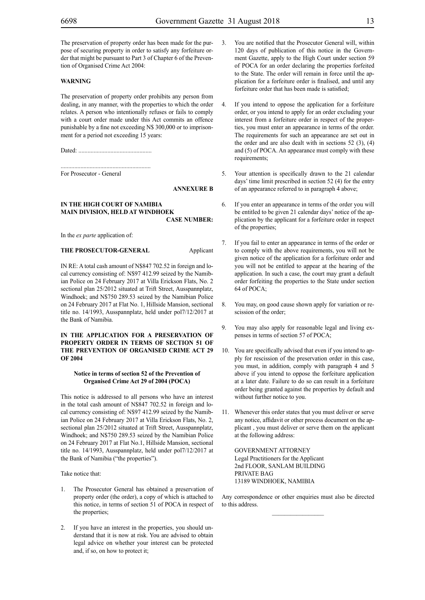The preservation of property order has been made for the purpose of securing property in order to satisfy any forfeiture order that might be pursuant to Part 3 of Chapter 6 of the Prevention of Organised Crime Act 2004:

#### **WARNING**

The preservation of property order prohibits any person from dealing, in any manner, with the properties to which the order relates. A person who intentionally refuses or fails to comply with a court order made under this Act commits an offence punishable by a fine not exceeding N\$ 300,000 or to imprisonment for a period not exceeding 15 years:

Dated: ................................................

...........................................................

For Prosecutor - General

#### **ANNEXURE B**

#### **IN THE HIGH COURT OF NAMIBIA MAIN DIVISION, HELD AT WINDHOEK CASE NUMBER:**

In the *ex parte* application of:

#### **THE PROSECUTOR-GENERAL** Applicant

IN RE: A total cash amount of N\$847 702.52 in foreign and local currency consisting of: N\$97 412.99 seized by the Namibian Police on 24 February 2017 at Villa Erickson Flats, No. 2 sectional plan 25/2012 situated at Trift Street, Ausspannplatz, Windhoek; and N\$750 289.53 seized by the Namibian Police on 24 February 2017 at Flat No. 1, Hillside Mansion, sectional title no. 14/1993, Ausspannplatz, held under pol7/12/2017 at the Bank of Namibia.

#### **IN THE APPLICATION FOR A PRESERVATION OF PROPERTY ORDER IN TERMS OF SECTION 51 OF THE PREVENTION OF ORGANISED CRIME ACT 29 OF 2004**

#### **Notice in terms of section 52 of the Prevention of Organised Crime Act 29 of 2004 (POCA)**

This notice is addressed to all persons who have an interest in the total cash amount of N\$847 702.52 in foreign and local currency consisting of: N\$97 412.99 seized by the Namibian Police on 24 February 2017 at Villa Erickson Flats, No. 2, sectional plan 25/2012 situated at Trift Street, Ausspannplatz, Windhoek; and N\$750 289.53 seized by the Namibian Police on 24 February 2017 at Flat No.1, Hillside Mansion, sectional title no. 14/1993, Ausspannplatz, held under pol7/12/2017 at the Bank of Namibia ("the properties").

Take notice that:

- 1. The Prosecutor General has obtained a preservation of property order (the order), a copy of which is attached to this notice, in terms of section 51 of POCA in respect of the properties;
- If you have an interest in the properties, you should understand that it is now at risk. You are advised to obtain legal advice on whether your interest can be protected and, if so, on how to protect it;
- 3. You are notified that the Prosecutor General will, within 120 days of publication of this notice in the Government Gazette, apply to the High Court under section 59 of POCA for an order declaring the properties forfeited to the State. The order will remain in force until the application for a forfeiture order is finalised, and until any forfeiture order that has been made is satisfied;
- 4. If you intend to oppose the application for a forfeiture order, or you intend to apply for an order excluding your interest from a forfeiture order in respect of the properties, you must enter an appearance in terms of the order. The requirements for such an appearance are set out in the order and are also dealt with in sections  $52$  (3), (4) and (5) of POCA. An appearance must comply with these requirements;
- 5. Your attention is specifically drawn to the 21 calendar days' time limit prescribed in section 52 (4) for the entry of an appearance referred to in paragraph 4 above;
- 6. If you enter an appearance in terms of the order you will be entitled to be given 21 calendar days' notice of the application by the applicant for a forfeiture order in respect of the properties;
- 7. If you fail to enter an appearance in terms of the order or to comply with the above requirements, you will not be given notice of the application for a forfeiture order and you will not be entitled to appear at the hearing of the application. In such a case, the court may grant a default order forfeiting the properties to the State under section 64 of POCA;
- 8. You may, on good cause shown apply for variation or rescission of the order;
- 9. You may also apply for reasonable legal and living expenses in terms of section 57 of POCA;
- 10. You are specifically advised that even if you intend to apply for rescission of the preservation order in this case, you must, in addition, comply with paragraph 4 and 5 above if you intend to oppose the forfeiture application at a later date. Failure to do so can result in a forfeiture order being granted against the properties by default and without further notice to you.
- 11. Whenever this order states that you must deliver or serve any notice, affidavit or other process document on the applicant , you must deliver or serve them on the applicant at the following address:

GOVERNMENT ATTORNEY Legal Practitioners for the Applicant 2nd FLOOR, SANLAM BUILDING PRIVATE BAG 13189 WINDHOEK, NAMIBIA

Any correspondence or other enquiries must also be directed to this address.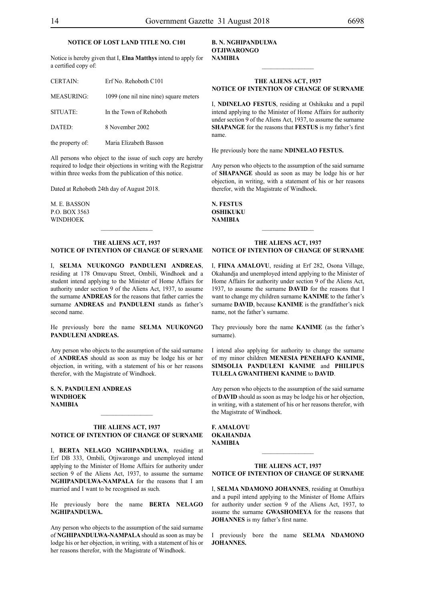## **NOTICE OF LOST LAND TITLE NO. C101**

Notice is hereby given that I, **Elna Matthys** intend to apply for a certified copy of:

| <b>CERTAIN:</b>   | Erf No. Rehoboth C101                  |
|-------------------|----------------------------------------|
| <b>MEASURING:</b> | 1099 (one nil nine nine) square meters |
| SITUATE:          | In the Town of Rehoboth                |
| DATED:            | 8 November 2002                        |
| the property of:  | Maria Elizabeth Basson                 |

All persons who object to the issue of such copy are hereby required to lodge their objections in writing with the Registrar within three weeks from the publication of this notice.

Dated at Rehoboth 24th day of August 2018.

M. E. Basson p.o. box 3563 **WINDHOEK** 

#### **THE ALIENS ACT, 1937 NOTICE OF INTENTION OF CHANGE OF SURNAME**

I, **selma nuukongo panduleni ANDREAS**, residing at 178 Omuvapu Street, Ombili, Windhoek and a student intend applying to the Minister of Home Affairs for authority under section 9 of the Aliens Act, 1937, to assume the surname **ANDREAS** for the reasons that father carries the surname **ANDREAS** and **PANDULENI** stands as father's second name.

He previously bore the name **selma nuukongo panduleni ANDREAS.**

Any person who objects to the assumption of the said surname of **andreas** should as soon as may be lodge his or her objection, in writing, with a statement of his or her reasons therefor, with the Magistrate of Windhoek.

**s. n. panduleni ANDREAS windhoek NAMIBIA**

#### **THE ALIENS ACT, 1937 NOTICE OF INTENTION OF CHANGE OF SURNAME**

 $\frac{1}{2}$ 

I, **berta nelago nghipandulwa**, residing at Erf DB 333, Ombili, Otjiwarongo and unemployed intend applying to the Minister of Home Affairs for authority under section 9 of the Aliens Act, 1937, to assume the surname **nghipandulwa-nampala** for the reasons that I am married and I want to be recognised as such.

He previously bore the name **BERTA NELAGO nghipandulwa.**

Any person who objects to the assumption of the said surname of **nghipandulwa-nampala** should as soon as may be lodge his or her objection, in writing, with a statement of his or her reasons therefor, with the Magistrate of Windhoek.

#### **b. n. nghipandulwa otjiwarongo NAMIBIA**

#### **THE ALIENS ACT, 1937 NOTICE OF INTENTION OF CHANGE OF SURNAME**

 $\frac{1}{2}$ 

I, **NDINELAO FESTUS**, residing at Oshikuku and a pupil intend applying to the Minister of Home Affairs for authority under section 9 of the Aliens Act, 1937, to assume the surname **shapange** for the reasons that **festus** is my father's first name.

He previously bore the name **NDINELAO FESTUS.** 

Any person who objects to the assumption of the said surname of **shapange** should as soon as may be lodge his or her objection, in writing, with a statement of his or her reasons therefor, with the Magistrate of Windhoek.

**n. festus OSHIKUKU NAMIBIA**

#### **THE ALIENS ACT, 1937 NOTICE OF INTENTION OF CHANGE OF SURNAME**

I, **fiina amalovu**, residing at Erf 282, Osona Village, Okahandja and unemployed intend applying to the Minister of Home Affairs for authority under section 9 of the Aliens Act, 1937, to assume the surname **DAVID** for the reasons that I want to change my children surname **KANIME** to the father's surname **DAVID**, because **KANIME** is the grandfather's nick name, not the father's surname.

They previously bore the name **KANIME** (as the father's surname).

I intend also applying for authority to change the surname of my minor children **MENESIA PENEHAFO KANIME, SIMSOLIA PANDULENI KANIME** and **PHILIPUS TULELA GWANITHENI KANIME** to **DAVID**.

Any person who objects to the assumption of the said surname of **DAVID** should as soon as may be lodge his or her objection, in writing, with a statement of his or her reasons therefor, with the Magistrate of Windhoek.

**f. amalovu okahandja NAMIBIA**

#### **THE ALIENS ACT, 1937 NOTICE OF INTENTION OF CHANGE OF SURNAME**

 $\mathcal{L}_\text{max}$ 

I, **selma ndamono johannes**, residing at Omuthiya and a pupil intend applying to the Minister of Home Affairs for authority under section 9 of the Aliens Act, 1937, to assume the surname **gwashomeya** for the reasons that **JOHANNES** is my father's first name.

I previously bore the name **SELMA NDAMONO johannes.**